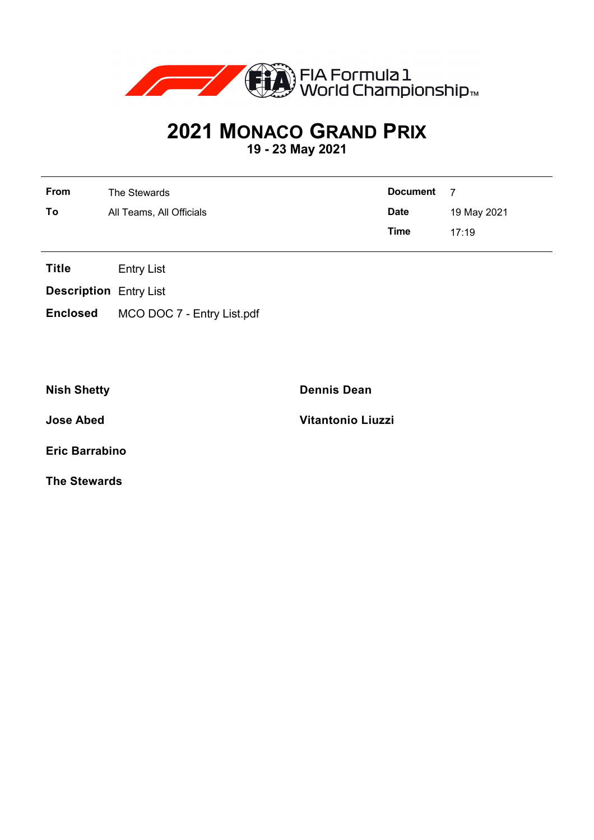

## **2021 MONACO GRAND PRIX**

**19 - 23 May 2021**

| From | The Stewards             | <b>Document</b> | - 7         |
|------|--------------------------|-----------------|-------------|
| To   | All Teams, All Officials | <b>Date</b>     | 19 May 2021 |
|      |                          | <b>Time</b>     | 17.19       |

**Title** Entry List

**Description** Entry List

**Enclosed** MCO DOC 7 - Entry List.pdf

**Nish Shetty Dennis Dean**

**Jose Abed Vitantonio Liuzzi**

**Eric Barrabino**

**The Stewards**